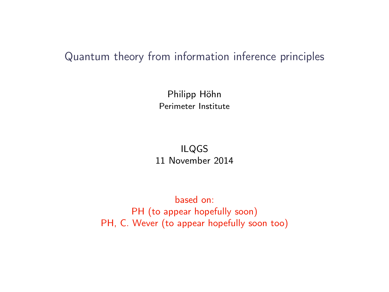### Quantum theory from information inference principles

Philipp Höhn Perimeter Institute

ILQGS 11 November 2014

based on: PH (to appear hopefully soon) PH, C. Wever (to appear hopefully soon too)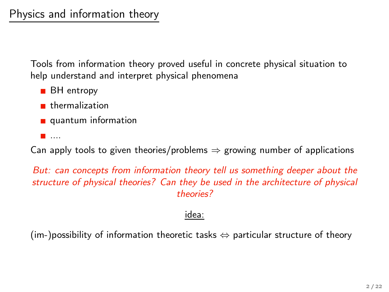Tools from information theory proved useful in concrete physical situation to help understand and interpret physical phenomena

- **BH** entropy
- **thermalization**
- quantum information
- ....

Can apply tools to given theories/problems  $\Rightarrow$  growing number of applications

But: can concepts from information theory tell us something deeper about the structure of physical theories? Can they be used in the architecture of physical theories?

#### idea:

 $(im-)$  possibility of information theoretic tasks  $\Leftrightarrow$  particular structure of theory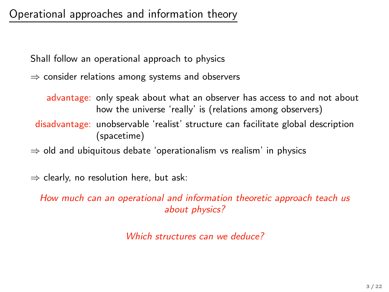## Operational approaches and information theory

Shall follow an operational approach to physics

 $\Rightarrow$  consider relations among systems and observers

advantage: only speak about what an observer has access to and not about how the universe 'really' is (relations among observers) disadvantage: unobservable 'realist' structure can facilitate global description (spacetime)

 $\Rightarrow$  old and ubiquitous debate 'operationalism vs realism' in physics

 $\Rightarrow$  clearly, no resolution here, but ask:

How much can an operational and information theoretic approach teach us about physics?

Which structures can we deduce?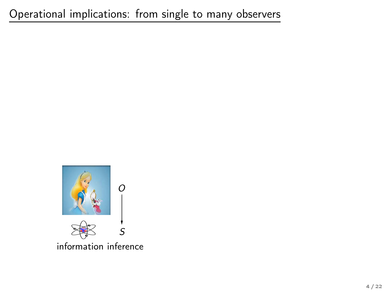

information inference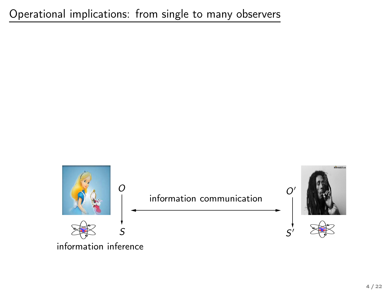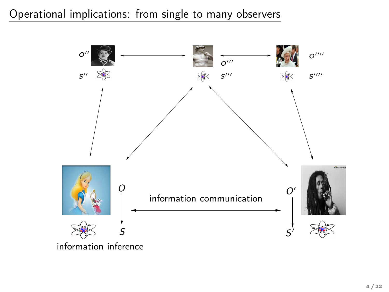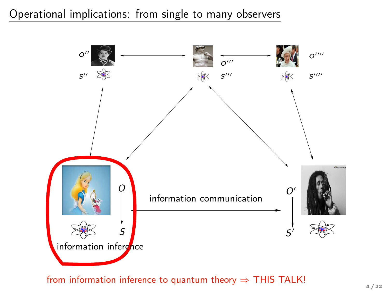

from information inference to quantum theory  $\Rightarrow$  THIS TALK!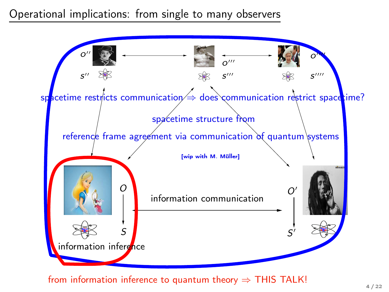

from information inference to quantum theory  $\Rightarrow$  THIS TALK!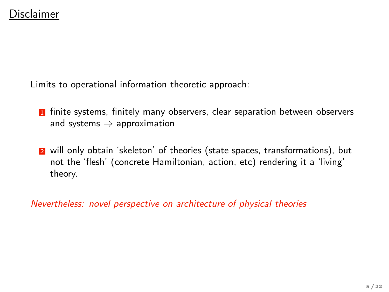Limits to operational information theoretic approach:

- **1** finite systems, finitely many observers, clear separation between observers and systems  $\Rightarrow$  approximation
- 2 will only obtain 'skeleton' of theories (state spaces, transformations), but not the 'flesh' (concrete Hamiltonian, action, etc) rendering it a 'living' theory.

Nevertheless: novel perspective on architecture of physical theories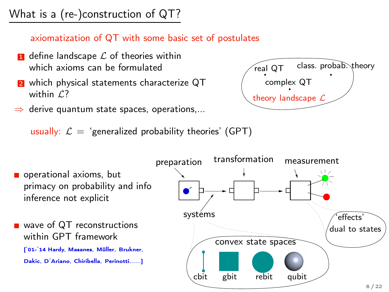# What is a (re-)construction of QT?

#### axiomatization of QT with some basic set of postulates

- $\blacksquare$  define landscape  $\mathcal L$  of theories within which axioms can be formulated
- **2** which physical statements characterize QT within  $\mathcal{L}$ ?
- $\Rightarrow$  derive quantum state spaces, operations,...

usually:  $\mathcal{L} =$  'generalized probability theories' (GPT)



 $r$ eal QT class. probab. theory complex QT theory landscape L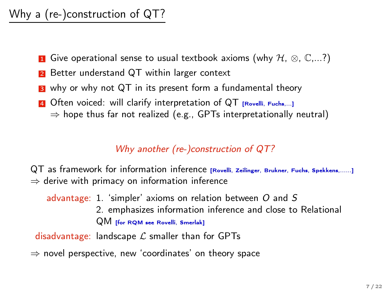# Why a (re-)construction of QT?

- **1** Give operational sense to usual textbook axioms (why  $H, \otimes, \mathbb{C}, \ldots$ ?)
- 2 Better understand QT within larger context
- **3** why or why not QT in its present form a fundamental theory
- 4 Often voiced: will clarify interpretation of QT [Rovelli, Fuchs,...]  $\Rightarrow$  hope thus far not realized (e.g., GPTs interpretationally neutral)

#### Why another (re-)construction of QT?

QT as framework for information inference [Rovelli, Zeilinger, Brukner, Fuchs, Spekkens,......]  $\Rightarrow$  derive with primacy on information inference

advantage: 1. 'simpler' axioms on relation between O and S 2. emphasizes information inference and close to Relational QM [for RQM see Rovelli, Smerlak]

disadvantage: landscape  $\mathcal L$  smaller than for GPTs

⇒ novel perspective, new 'coordinates' on theory space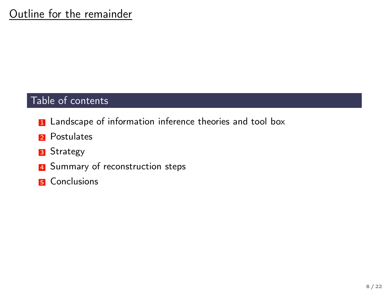#### Table of contents

- **1** Landscape of information inference theories and tool box
- 2 Postulates
- **3** Strategy
- 4 Summary of reconstruction steps
- **5** Conclusions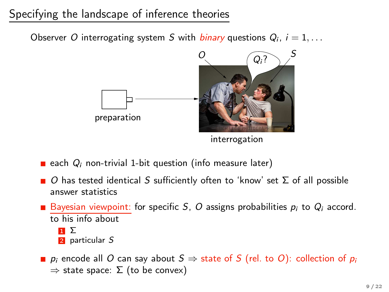# Specifying the landscape of inference theories

Observer O interrogating system S with *binary* questions  $Q_i$ ,  $i = 1, \ldots$ 



each  $Q_i$  non-trivial 1-bit question (info measure later)

- $\Box$  O has tested identical S sufficiently often to 'know' set  $\Sigma$  of all possible answer statistics
- Bayesian viewpoint: for specific S, O assigns probabilities  $p_i$  to  $Q_i$  accord. to his info about
	- $\mathbf{u} \Sigma$ 2 particular S
- **p**  $p_i$  encode all O can say about  $S \Rightarrow$  state of S (rel. to O): collection of  $p_i$  $\Rightarrow$  state space:  $\Sigma$  (to be convex)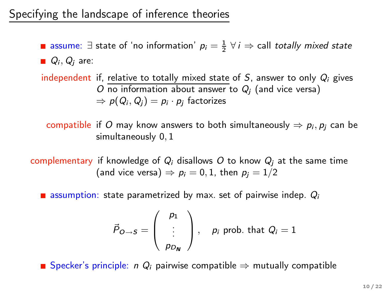assume: ∃ state of 'no information'  $p_i = \frac{1}{2}$   $\forall i \Rightarrow$  call *totally mixed state*  $Q_i, Q_j$  are:

independent if, relative to totally mixed state of  $S$ , answer to only  $Q_i$  gives O no information about answer to  $Q_i$  (and vice versa)  $\Rightarrow p(Q_i, Q_i) = p_i \cdot p_i$  factorizes

compatible if O may know answers to both simultaneously  $\Rightarrow p_i, p_i$  can be simultaneously 0, 1

complementary if knowledge of  $Q_i$  disallows O to know  $Q_i$  at the same time (and vice versa)  $\Rightarrow$   $p_i = 0, 1$ , then  $p_i = 1/2$ 

**E** assumption: state parametrized by max. set of pairwise indep.  $Q_i$ 

$$
\vec{P}_{O\rightarrow S} = \left(\begin{array}{c}p_1\\ \vdots\\ p_{D_N}\end{array}\right), \quad p_i \text{ prob. that } Q_i = 1
$$

**■** Specker's principle: *n*  $Q_i$  pairwise compatible  $\Rightarrow$  mutually compatible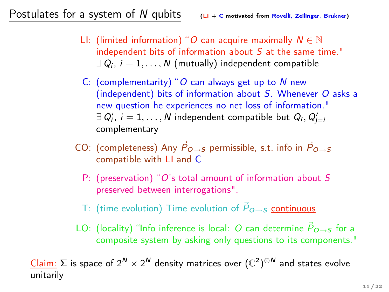- LI: (limited information) "O can acquire maximally  $N \in \mathbb{N}$ independent bits of information about S at the same time."  $\exists Q_i, i = 1, \ldots, N$  (mutually) independent compatible
- C: (complementarity) "O can always get up to  $N$  new (independent) bits of information about S. Whenever O asks a new question he experiences no net loss of information."  $\exists~Q'_i,~i=1,\ldots,N$  independent compatible but  $Q_i,Q'_{j=i}$ complementary
- CO: (completeness) Any  $\vec{P}_{Q\rightarrow S}$  permissible, s.t. info in  $\vec{P}_{Q\rightarrow S}$ compatible with LI and C
	- P: (preservation) "O's total amount of information about S preserved between interrogations".
	- T: (time evolution) Time evolution of  $\vec{P}_{Q\rightarrow S}$  continuous
- LO: (locality) "Info inference is local: O can determine  $\vec{P}_{Q\rightarrow S}$  for a composite system by asking only questions to its components."

<u>Claim:</u> Σ is space of 2<sup>N</sup> × 2<sup>N</sup> density matrices over  $(\mathbb{C}^2)^{\otimes N}$  and states evolve unitarily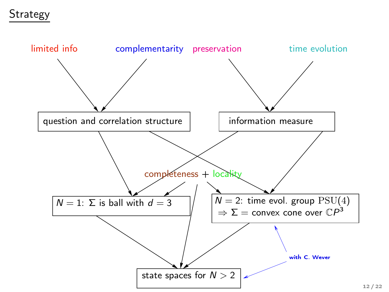## Strategy

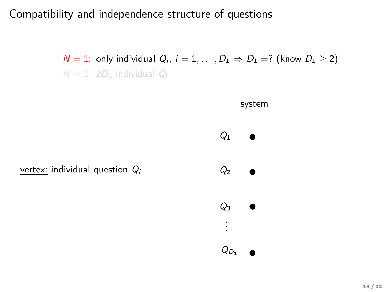$N = 1$ : only individual  $Q_i$ ,  $i = 1, \ldots, D_1 \Rightarrow D_1 = ?$  (know  $D_1 \ge 2$ )  $N = 2$ : 2D<sub>1</sub> individual  $Q_i$ 

system

 $Q_1$ 

 $Q<sub>2</sub>$ 

 $Q_3$ 

. . .

 $Q_{D_1}$ 

vertex: individual question  $Q_i$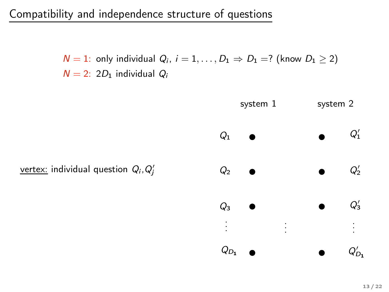$N = 1$ : only individual  $Q_i$ ,  $i = 1, \ldots, D_1 \Rightarrow D_1 = ?$  (know  $D_1 \ge 2$ )  $N = 2$ : 2D<sub>1</sub> individual  $Q_i$ 

<u>vertex:</u> individual question  $Q_i, Q'_j$ system 1 system 2  $Q_1$  $Q<sub>2</sub>$  $Q<sub>3</sub>$  $Q_{D_1}$  $Q'_1$  $Q'_2$  $Q'_3$  $Q'_{D_1}$ . . . . . . . . .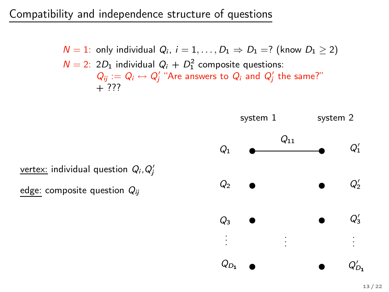$N = 1$ : only individual  $Q_i$ ,  $i = 1, ..., D_1 \Rightarrow D_1 = ?$  (know  $D_1 \ge 2$ )  $N = 2$ : 2D<sub>1</sub> individual  $Q_i + D_1^2$  composite questions:  $Q_{ij} := Q_i \leftrightarrow Q_j'$  "Are answers to  $Q_i$  and  $Q_j'$  the same?" + ???



<u>vertex:</u> individual question  $Q_i, Q'_j$ 

edge: composite question  $Q_{ii}$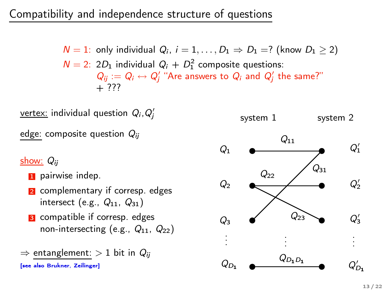$N = 1$ : only individual  $Q_i$ ,  $i = 1, ..., D_1 \Rightarrow D_1 = ?$  (know  $D_1 \ge 2$ )  $N = 2$ : 2D<sub>1</sub> individual  $Q_i + D_1^2$  composite questions:  $Q_{ij} := Q_i \leftrightarrow Q_j'$  "Are answers to  $Q_i$  and  $Q_j'$  the same?"  $+ 777$ 

<u>vertex:</u> individual question  $Q_i, Q'_j$ edge: composite question  $Q_{ii}$ show:  $Q_{ij}$ **1** pairwise indep. 2 complementary if corresp. edges intersect (e.g.,  $Q_{11}$ ,  $Q_{31}$ ) **3** compatible if corresp. edges non-intersecting (e.g.,  $Q_{11}$ ,  $Q_{22}$ )  $\Rightarrow$  entanglement:  $> 1$  bit in  $Q_{ii}$  $Q<sub>1</sub>$  $Q<sub>2</sub>$  $Q_3$ . . . . . .  $Q_{22}$ 

[see also Brukner, Zeilinger]

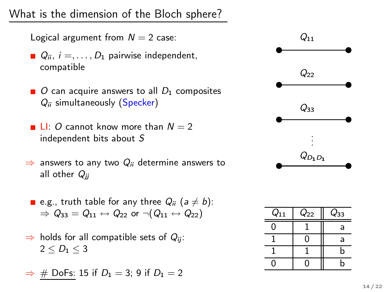What is the dimension of the Bloch sphere?

- Logical argument from  $N = 2$  case:
- $Q_{ii}$ ,  $i =$ , ...,  $D_1$  pairwise independent, compatible
- $\Box$  O can acquire answers to all  $D_1$  composites  $Q_{ii}$  simultaneously (Specker)
- **LI:** O cannot know more than  $N = 2$ independent bits about S
- $\Rightarrow$  answers to any two  $Q_{ii}$  determine answers to all other  $Q_{ii}$
- **e** e.g., truth table for any three  $Q_{ii}$  ( $a \neq b$ ):  $\Rightarrow$   $Q_{33} = Q_{11} \leftrightarrow Q_{22}$  or  $\neg (Q_{11} \leftrightarrow Q_{22})$
- $\Rightarrow$  holds for all compatible sets of  $Q_{ii}$ :  $2 \leq D_1 \leq 3$
- $\Rightarrow$  # DoFs: 15 if  $D_1 = 3$ ; 9 if  $D_1 = 2$



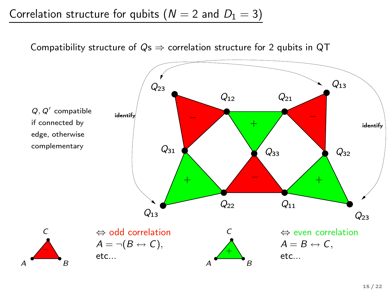Correlation structure for qubits ( $N = 2$  and  $D_1 = 3$ )

Compatibility structure of  $Qs \Rightarrow$  correlation structure for 2 qubits in QT

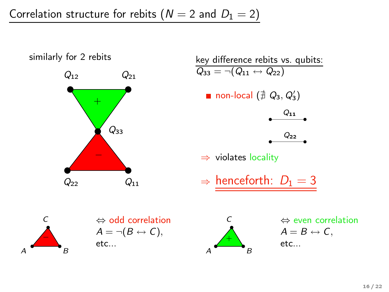Correlation structure for rebits ( $N = 2$  and  $D_1 = 2$ )

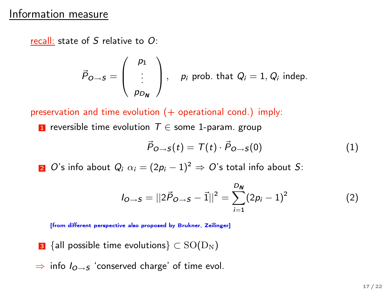#### Information measure

recall: state of S relative to O:

$$
\vec{P}_{O \to S} = \left(\begin{array}{c}p_1 \\ \vdots \\ p_{D_N}\end{array}\right), \quad p_i \text{ prob. that } Q_i = 1, Q_i \text{ indep.}
$$

preservation and time evolution (+ operational cond.) imply:

**1** reversible time evolution  $T \in$  some 1-param. group

$$
\vec{P}_{O \to S}(t) = T(t) \cdot \vec{P}_{O \to S}(0) \tag{1}
$$

2  $O$ 's info about  $Q_i$   $\alpha_i = (2p_i - 1)^2 \Rightarrow O$ 's total info about S:

$$
I_{O\rightarrow S} = ||2\vec{P}_{O\rightarrow S} - \vec{1}||^2 = \sum_{i=1}^{D_{N}} (2p_i - 1)^2
$$
 (2)

[from different perspective also proposed by Brukner, Zeilinger]

- **3** {all possible time evolutions}  $\subset$  SO(D<sub>N</sub>)
- $\Rightarrow$  info  $I_{Q\rightarrow S}$  'conserved charge' of time evol.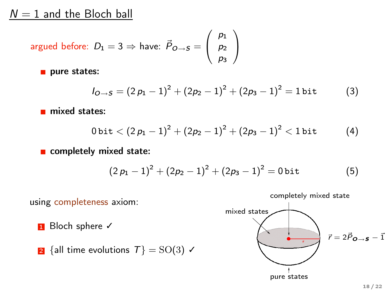### $N = 1$  and the Bloch ball

$$
\text{argued before: } D_1 = 3 \Rightarrow \text{ have: } \vec{P}_{O \to S} = \left( \begin{array}{c} p_1 \\ p_2 \\ p_3 \end{array} \right)
$$

pure states:

$$
I_{Q\rightarrow S} = (2 p_1 - 1)^2 + (2p_2 - 1)^2 + (2p_3 - 1)^2 = 1 \text{ bit}
$$
 (3)

mixed states:

$$
0\,\mathrm{bit} < \left(2\,p_1-1\right)^2 + \left(2p_2-1\right)^2 + \left(2p_3-1\right)^2 < 1\,\mathrm{bit} \qquad \quad \ \ (4)
$$

completely mixed state:

$$
(2p_1-1)^2+(2p_2-1)^2+(2p_3-1)^2=0\,\text{bit}\qquad \qquad (5)
$$



pure states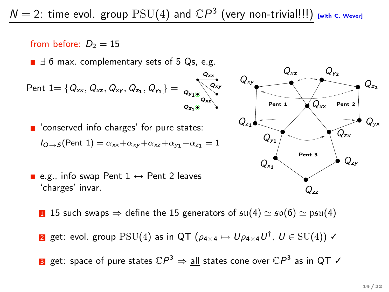$Q_{xx}$ 

#### from before:  $D_2 = 15$

■  $\exists$  6 max. complementary sets of 5 Qs, e.g.

$$
Part 1 = \{Q_{xx}, Q_{xz}, Q_{xy}, Q_{z_1}, Q_{y_1}\} = \underbrace{Q_{y_1}Q_{x_2}}_{Q_{z_1}Q_{y_2}}
$$

■ 'conserved info charges' for pure states:  $I_{Q\rightarrow S}$ (Pent 1) =  $\alpha_{xx}+\alpha_{xy}+\alpha_{xz}+\alpha_{yz}+\alpha_{zz} = 1$ 





- **1** 15 such swaps  $\Rightarrow$  define the 15 generators of  $\mathfrak{su}(4) \simeq \mathfrak{so}(6) \simeq \mathfrak{psu}(4)$
- $\overline{\textbf{2}}$  get: evol. group  $\text{PSU}(4)$  as in QT  $(\rho_{4\times 4} \mapsto U\rho_{4\times 4}U^\dagger$ ,  $U\in \text{SU}(4))$   $\checkmark$

 $\bf{s}$  get: space of pure states  $\mathbb{C}P^{3}\Rightarrow \bf{all}$  states cone over  $\mathbb{C}P^{3}$  as in QT  $\bm{\checkmark}$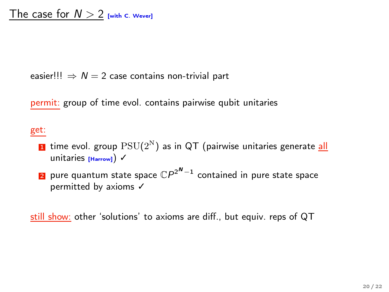easier!!!  $\Rightarrow N = 2$  case contains non-trivial part

permit: group of time evol. contains pairwise qubit unitaries

#### get:

- $\blacksquare$  time evol. group  $\mathrm{PSU}(2^{\text{N}})$  as in QT (pairwise unitaries generate <u>all</u> unitaries [Harrow]) √
- $\overline{\textbf{2}}$  pure quantum state space  $\mathbb{C}P^{2^{\boldsymbol{N}}-1}$  contained in pure state space permitted by axioms √

still show: other 'solutions' to axioms are diff., but equiv. reps of QT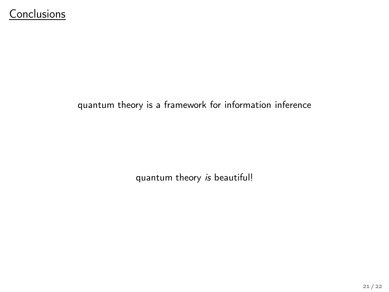#### quantum theory is a framework for information inference

quantum theory is beautiful!